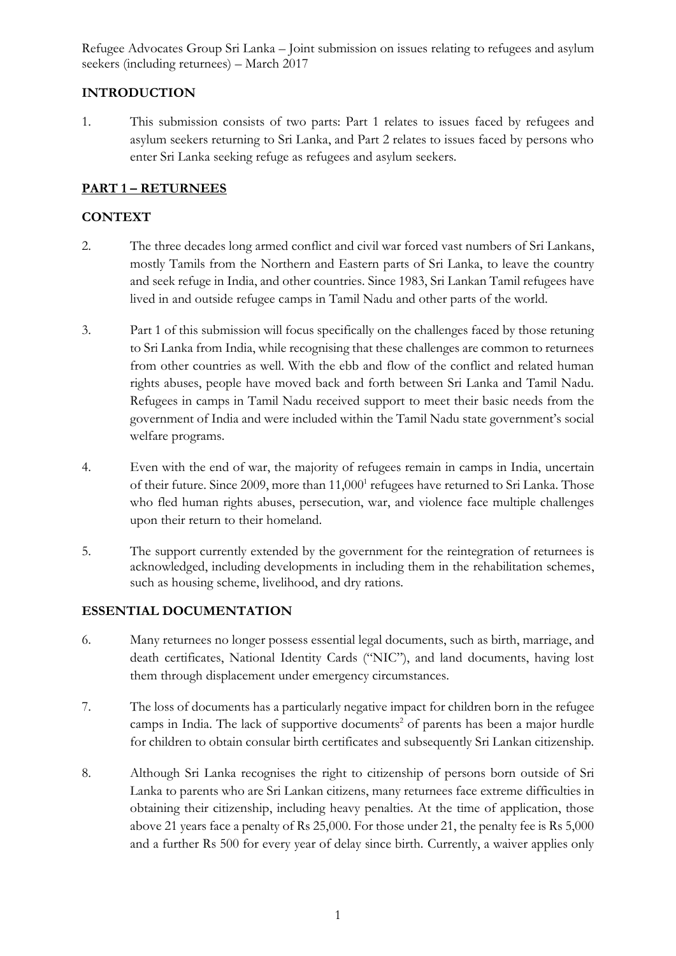# **INTRODUCTION**

1. This submission consists of two parts: Part 1 relates to issues faced by refugees and asylum seekers returning to Sri Lanka, and Part 2 relates to issues faced by persons who enter Sri Lanka seeking refuge as refugees and asylum seekers.

# **PART 1 – RETURNEES**

## **CONTEXT**

- 2. The three decades long armed conflict and civil war forced vast numbers of Sri Lankans, mostly Tamils from the Northern and Eastern parts of Sri Lanka, to leave the country and seek refuge in India, and other countries. Since 1983, Sri Lankan Tamil refugees have lived in and outside refugee camps in Tamil Nadu and other parts of the world.
- 3. Part 1 of this submission will focus specifically on the challenges faced by those retuning to Sri Lanka from India, while recognising that these challenges are common to returnees from other countries as well. With the ebb and flow of the conflict and related human rights abuses, people have moved back and forth between Sri Lanka and Tamil Nadu. Refugees in camps in Tamil Nadu received support to meet their basic needs from the government of India and were included within the Tamil Nadu state government's social welfare programs.
- 4. Even with the end of war, the majority of refugees remain in camps in India, uncertain of their future. Since 2009, more than 11,000<sup>1</sup> refugees have returned to Sri Lanka. Those who fled human rights abuses, persecution, war, and violence face multiple challenges upon their return to their homeland.
- 5. The support currently extended by the government for the reintegration of returnees is acknowledged, including developments in including them in the rehabilitation schemes, such as housing scheme, livelihood, and dry rations.

### **ESSENTIAL DOCUMENTATION**

- 6. Many returnees no longer possess essential legal documents, such as birth, marriage, and death certificates, National Identity Cards ("NIC"), and land documents, having lost them through displacement under emergency circumstances.
- 7. The loss of documents has a particularly negative impact for children born in the refugee camps in India. The lack of supportive documents<sup>2</sup> of parents has been a major hurdle for children to obtain consular birth certificates and subsequently Sri Lankan citizenship.
- 8. Although Sri Lanka recognises the right to citizenship of persons born outside of Sri Lanka to parents who are Sri Lankan citizens, many returnees face extreme difficulties in obtaining their citizenship, including heavy penalties. At the time of application, those above 21 years face a penalty of Rs 25,000. For those under 21, the penalty fee is Rs 5,000 and a further Rs 500 for every year of delay since birth. Currently, a waiver applies only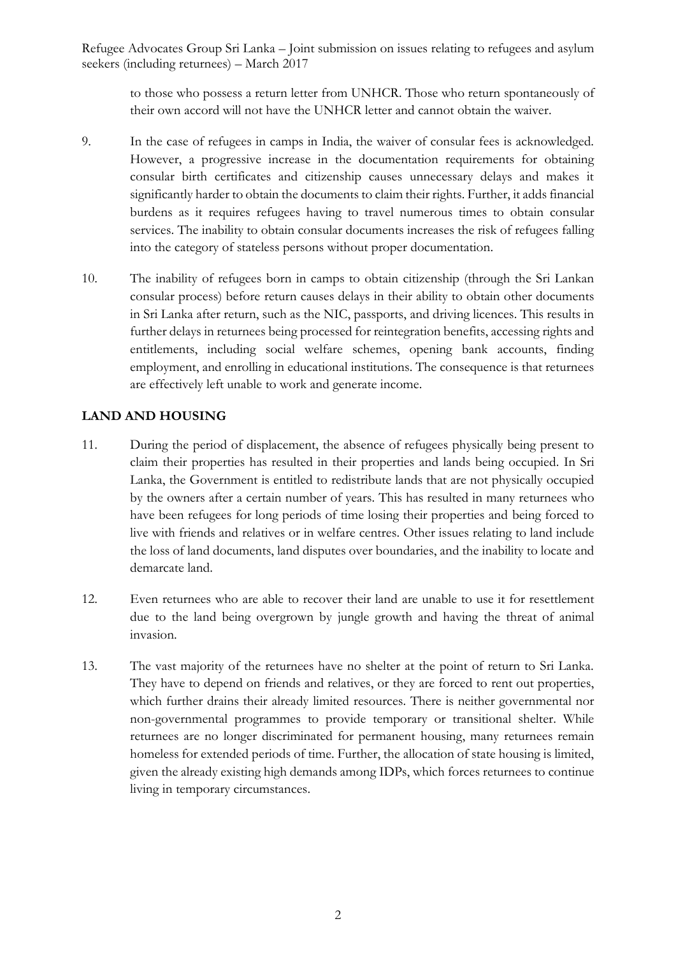to those who possess a return letter from UNHCR. Those who return spontaneously of their own accord will not have the UNHCR letter and cannot obtain the waiver.

- 9. In the case of refugees in camps in India, the waiver of consular fees is acknowledged. However, a progressive increase in the documentation requirements for obtaining consular birth certificates and citizenship causes unnecessary delays and makes it significantly harder to obtain the documents to claim their rights. Further, it adds financial burdens as it requires refugees having to travel numerous times to obtain consular services. The inability to obtain consular documents increases the risk of refugees falling into the category of stateless persons without proper documentation.
- 10. The inability of refugees born in camps to obtain citizenship (through the Sri Lankan consular process) before return causes delays in their ability to obtain other documents in Sri Lanka after return, such as the NIC, passports, and driving licences. This results in further delays in returnees being processed for reintegration benefits, accessing rights and entitlements, including social welfare schemes, opening bank accounts, finding employment, and enrolling in educational institutions. The consequence is that returnees are effectively left unable to work and generate income.

# **LAND AND HOUSING**

- 11. During the period of displacement, the absence of refugees physically being present to claim their properties has resulted in their properties and lands being occupied. In Sri Lanka, the Government is entitled to redistribute lands that are not physically occupied by the owners after a certain number of years. This has resulted in many returnees who have been refugees for long periods of time losing their properties and being forced to live with friends and relatives or in welfare centres. Other issues relating to land include the loss of land documents, land disputes over boundaries, and the inability to locate and demarcate land.
- 12. Even returnees who are able to recover their land are unable to use it for resettlement due to the land being overgrown by jungle growth and having the threat of animal invasion.
- 13. The vast majority of the returnees have no shelter at the point of return to Sri Lanka. They have to depend on friends and relatives, or they are forced to rent out properties, which further drains their already limited resources. There is neither governmental nor non-governmental programmes to provide temporary or transitional shelter. While returnees are no longer discriminated for permanent housing, many returnees remain homeless for extended periods of time. Further, the allocation of state housing is limited, given the already existing high demands among IDPs, which forces returnees to continue living in temporary circumstances.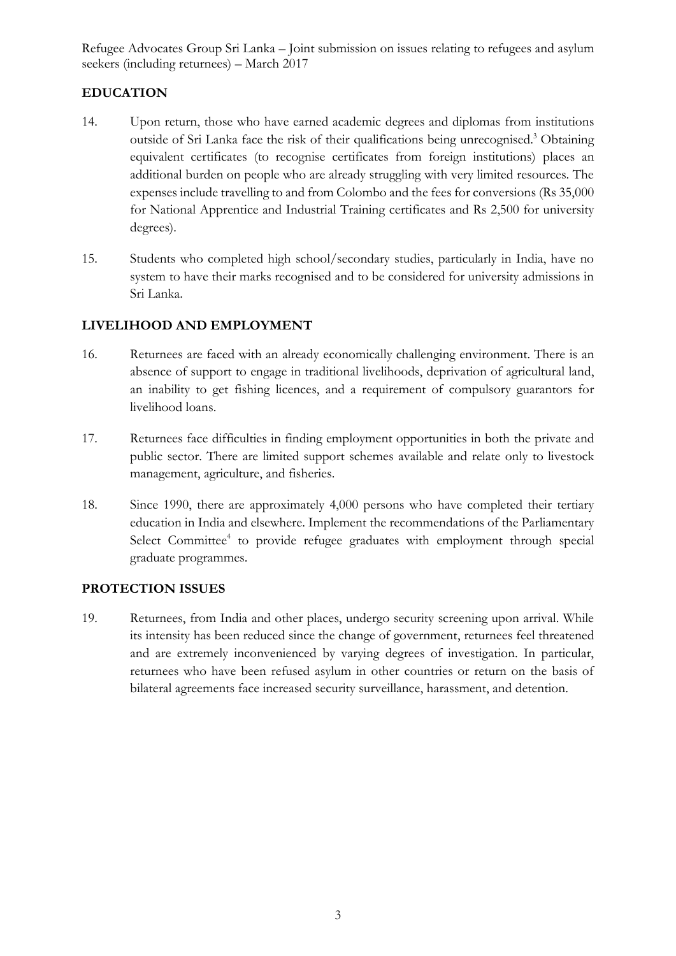# **EDUCATION**

- 14. Upon return, those who have earned academic degrees and diplomas from institutions outside of Sri Lanka face the risk of their qualifications being unrecognised.<sup>3</sup> Obtaining equivalent certificates (to recognise certificates from foreign institutions) places an additional burden on people who are already struggling with very limited resources. The expenses include travelling to and from Colombo and the fees for conversions (Rs 35,000 for National Apprentice and Industrial Training certificates and Rs 2,500 for university degrees).
- 15. Students who completed high school/secondary studies, particularly in India, have no system to have their marks recognised and to be considered for university admissions in Sri Lanka.

# **LIVELIHOOD AND EMPLOYMENT**

- 16. Returnees are faced with an already economically challenging environment. There is an absence of support to engage in traditional livelihoods, deprivation of agricultural land, an inability to get fishing licences, and a requirement of compulsory guarantors for livelihood loans.
- 17. Returnees face difficulties in finding employment opportunities in both the private and public sector. There are limited support schemes available and relate only to livestock management, agriculture, and fisheries.
- 18. Since 1990, there are approximately 4,000 persons who have completed their tertiary education in India and elsewhere. Implement the recommendations of the Parliamentary Select Committee<sup>4</sup> to provide refugee graduates with employment through special graduate programmes.

### **PROTECTION ISSUES**

19. Returnees, from India and other places, undergo security screening upon arrival. While its intensity has been reduced since the change of government, returnees feel threatened and are extremely inconvenienced by varying degrees of investigation. In particular, returnees who have been refused asylum in other countries or return on the basis of bilateral agreements face increased security surveillance, harassment, and detention.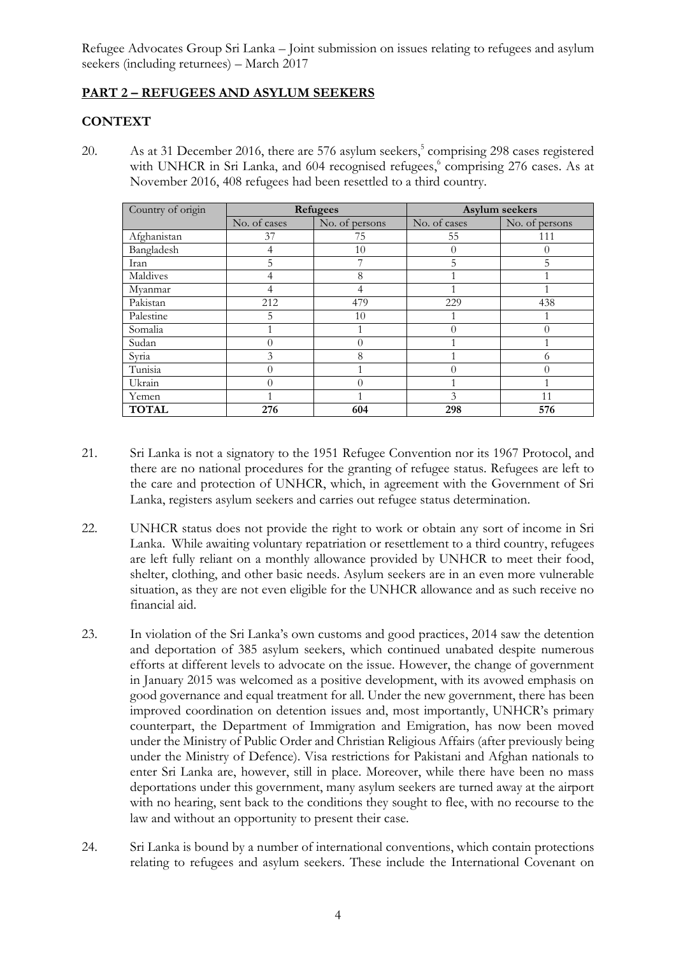# **PART 2 – REFUGEES AND ASYLUM SEEKERS**

### **CONTEXT**

20. As at 31 December 2016, there are 576 asylum seekers, 5 comprising 298 cases registered with UNHCR in Sri Lanka, and 604 recognised refugees,<sup>6</sup> comprising 276 cases. As at November 2016, 408 refugees had been resettled to a third country.

| Country of origin | <b>Refugees</b> |                | Asylum seekers |                |
|-------------------|-----------------|----------------|----------------|----------------|
|                   | No. of cases    | No. of persons | No. of cases   | No. of persons |
| Afghanistan       | 37              | 75             | 55             | 111            |
| Bangladesh        |                 | 10             | 0              |                |
| Iran              | 5               | 7              | 5              | 5              |
| Maldives          |                 | 8              |                |                |
| Myanmar           | 4               | 4              |                |                |
| Pakistan          | 212             | 479            | 229            | 438            |
| Palestine         | 5               | 10             |                |                |
| Somalia           |                 |                | $\Omega$       |                |
| Sudan             |                 | 0              |                |                |
| Syria             | 3               | 8              |                | 6              |
| Tunisia           | $\Omega$        |                | $\Omega$       |                |
| Ukrain            | $\Omega$        | 0              |                |                |
| Yemen             |                 |                | 3              | 11             |
| <b>TOTAL</b>      | 276             | 604            | 298            | 576            |

- 21. Sri Lanka is not a signatory to the 1951 Refugee Convention nor its 1967 Protocol, and there are no national procedures for the granting of refugee status. Refugees are left to the care and protection of UNHCR, which, in agreement with the Government of Sri Lanka, registers asylum seekers and carries out refugee status determination.
- 22. UNHCR status does not provide the right to work or obtain any sort of income in Sri Lanka. While awaiting voluntary repatriation or resettlement to a third country, refugees are left fully reliant on a monthly allowance provided by UNHCR to meet their food, shelter, clothing, and other basic needs. Asylum seekers are in an even more vulnerable situation, as they are not even eligible for the UNHCR allowance and as such receive no financial aid.
- 23. In violation of the Sri Lanka's own customs and good practices, 2014 saw the detention and deportation of 385 asylum seekers, which continued unabated despite numerous efforts at different levels to advocate on the issue. However, the change of government in January 2015 was welcomed as a positive development, with its avowed emphasis on good governance and equal treatment for all. Under the new government, there has been improved coordination on detention issues and, most importantly, UNHCR's primary counterpart, the Department of Immigration and Emigration, has now been moved under the Ministry of Public Order and Christian Religious Affairs (after previously being under the Ministry of Defence). Visa restrictions for Pakistani and Afghan nationals to enter Sri Lanka are, however, still in place. Moreover, while there have been no mass deportations under this government, many asylum seekers are turned away at the airport with no hearing, sent back to the conditions they sought to flee, with no recourse to the law and without an opportunity to present their case.
- 24. Sri Lanka is bound by a number of international conventions, which contain protections relating to refugees and asylum seekers. These include the International Covenant on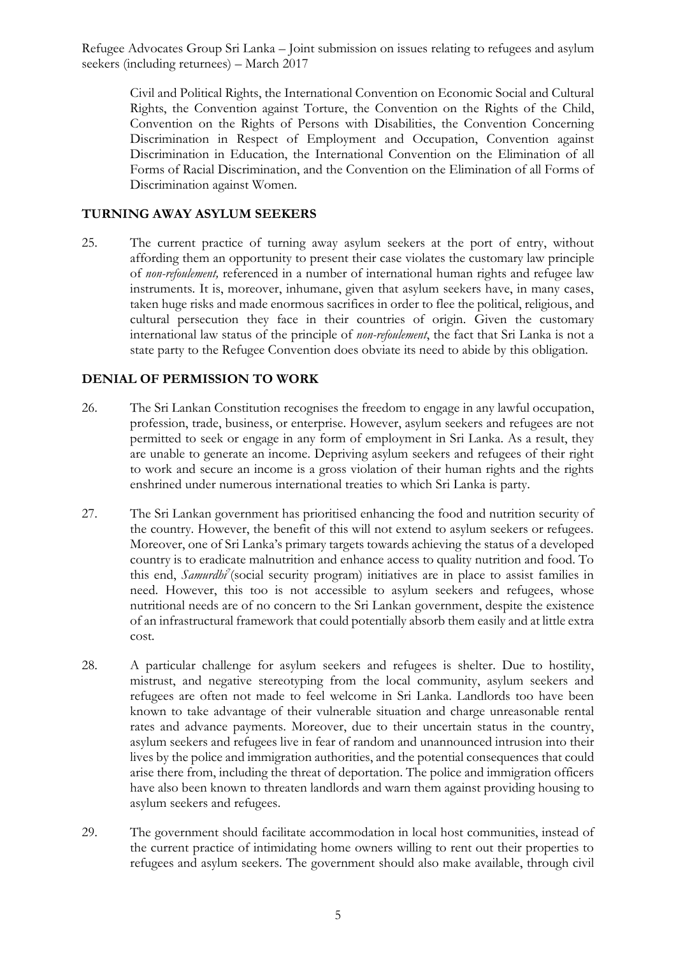Civil and Political Rights, the International Convention on Economic Social and Cultural Rights, the Convention against Torture, the Convention on the Rights of the Child, Convention on the Rights of Persons with Disabilities, the Convention Concerning Discrimination in Respect of Employment and Occupation, Convention against Discrimination in Education, the International Convention on the Elimination of all Forms of Racial Discrimination, and the Convention on the Elimination of all Forms of Discrimination against Women.

### **TURNING AWAY ASYLUM SEEKERS**

25. The current practice of turning away asylum seekers at the port of entry, without affording them an opportunity to present their case violates the customary law principle of *non-refoulement,* referenced in a number of international human rights and refugee law instruments. It is, moreover, inhumane, given that asylum seekers have, in many cases, taken huge risks and made enormous sacrifices in order to flee the political, religious, and cultural persecution they face in their countries of origin. Given the customary international law status of the principle of *non-refoulement*, the fact that Sri Lanka is not a state party to the Refugee Convention does obviate its need to abide by this obligation.

### **DENIAL OF PERMISSION TO WORK**

- 26. The Sri Lankan Constitution recognises the freedom to engage in any lawful occupation, profession, trade, business, or enterprise. However, asylum seekers and refugees are not permitted to seek or engage in any form of employment in Sri Lanka. As a result, they are unable to generate an income. Depriving asylum seekers and refugees of their right to work and secure an income is a gross violation of their human rights and the rights enshrined under numerous international treaties to which Sri Lanka is party.
- 27. The Sri Lankan government has prioritised enhancing the food and nutrition security of the country. However, the benefit of this will not extend to asylum seekers or refugees. Moreover, one of Sri Lanka's primary targets towards achieving the status of a developed country is to eradicate malnutrition and enhance access to quality nutrition and food. To this end, *Samurdhi<sup>7</sup>* (social security program) initiatives are in place to assist families in need. However, this too is not accessible to asylum seekers and refugees, whose nutritional needs are of no concern to the Sri Lankan government, despite the existence of an infrastructural framework that could potentially absorb them easily and at little extra cost.
- 28. A particular challenge for asylum seekers and refugees is shelter. Due to hostility, mistrust, and negative stereotyping from the local community, asylum seekers and refugees are often not made to feel welcome in Sri Lanka. Landlords too have been known to take advantage of their vulnerable situation and charge unreasonable rental rates and advance payments. Moreover, due to their uncertain status in the country, asylum seekers and refugees live in fear of random and unannounced intrusion into their lives by the police and immigration authorities, and the potential consequences that could arise there from, including the threat of deportation. The police and immigration officers have also been known to threaten landlords and warn them against providing housing to asylum seekers and refugees.
- 29. The government should facilitate accommodation in local host communities, instead of the current practice of intimidating home owners willing to rent out their properties to refugees and asylum seekers. The government should also make available, through civil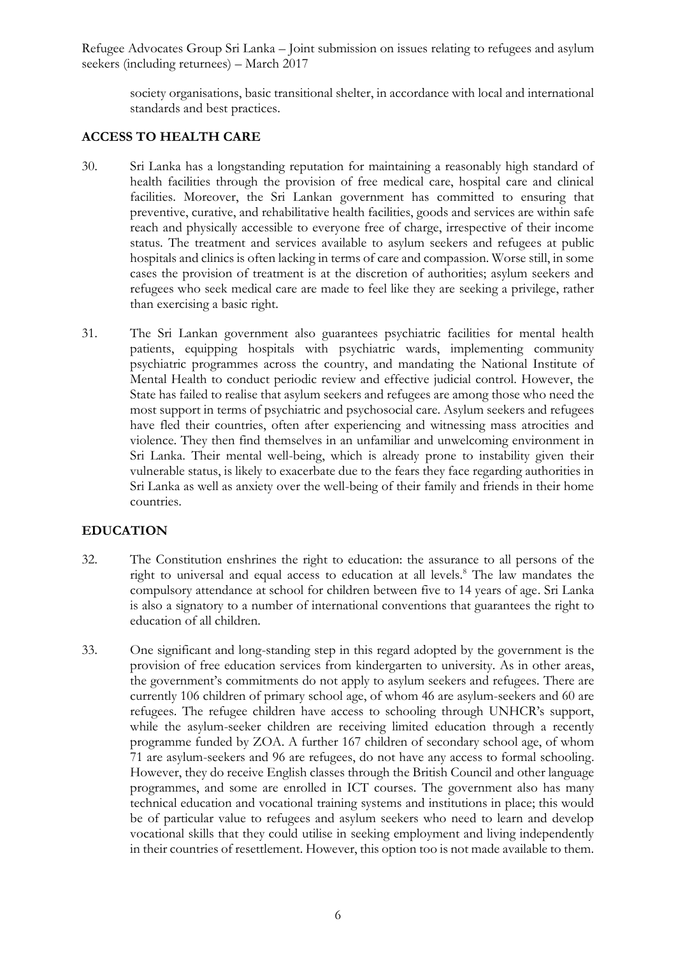society organisations, basic transitional shelter, in accordance with local and international standards and best practices.

### **ACCESS TO HEALTH CARE**

- 30. Sri Lanka has a longstanding reputation for maintaining a reasonably high standard of health facilities through the provision of free medical care, hospital care and clinical facilities. Moreover, the Sri Lankan government has committed to ensuring that preventive, curative, and rehabilitative health facilities, goods and services are within safe reach and physically accessible to everyone free of charge, irrespective of their income status. The treatment and services available to asylum seekers and refugees at public hospitals and clinics is often lacking in terms of care and compassion. Worse still, in some cases the provision of treatment is at the discretion of authorities; asylum seekers and refugees who seek medical care are made to feel like they are seeking a privilege, rather than exercising a basic right.
- 31. The Sri Lankan government also guarantees psychiatric facilities for mental health patients, equipping hospitals with psychiatric wards, implementing community psychiatric programmes across the country, and mandating the National Institute of Mental Health to conduct periodic review and effective judicial control. However, the State has failed to realise that asylum seekers and refugees are among those who need the most support in terms of psychiatric and psychosocial care. Asylum seekers and refugees have fled their countries, often after experiencing and witnessing mass atrocities and violence. They then find themselves in an unfamiliar and unwelcoming environment in Sri Lanka. Their mental well-being, which is already prone to instability given their vulnerable status, is likely to exacerbate due to the fears they face regarding authorities in Sri Lanka as well as anxiety over the well-being of their family and friends in their home countries.

### **EDUCATION**

- 32. The Constitution enshrines the right to education: the assurance to all persons of the right to universal and equal access to education at all levels.<sup>8</sup> The law mandates the compulsory attendance at school for children between five to 14 years of age. Sri Lanka is also a signatory to a number of international conventions that guarantees the right to education of all children.
- 33. One significant and long-standing step in this regard adopted by the government is the provision of free education services from kindergarten to university. As in other areas, the government's commitments do not apply to asylum seekers and refugees. There are currently 106 children of primary school age, of whom 46 are asylum-seekers and 60 are refugees. The refugee children have access to schooling through UNHCR's support, while the asylum-seeker children are receiving limited education through a recently programme funded by ZOA. A further 167 children of secondary school age, of whom 71 are asylum-seekers and 96 are refugees, do not have any access to formal schooling. However, they do receive English classes through the British Council and other language programmes, and some are enrolled in ICT courses. The government also has many technical education and vocational training systems and institutions in place; this would be of particular value to refugees and asylum seekers who need to learn and develop vocational skills that they could utilise in seeking employment and living independently in their countries of resettlement. However, this option too is not made available to them.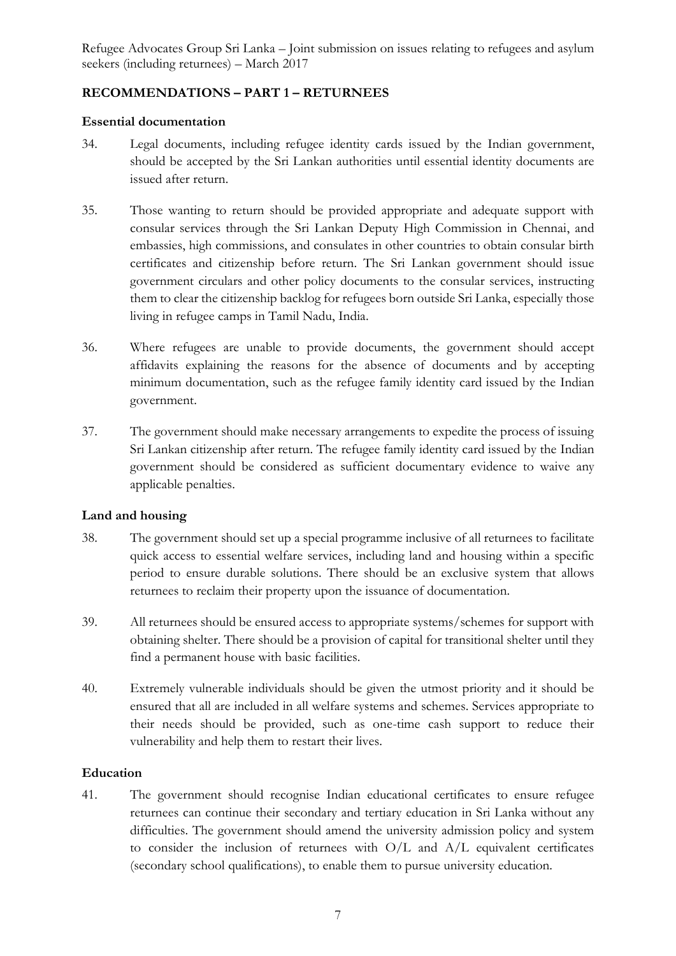## **RECOMMENDATIONS – PART 1 – RETURNEES**

#### **Essential documentation**

- 34. Legal documents, including refugee identity cards issued by the Indian government, should be accepted by the Sri Lankan authorities until essential identity documents are issued after return.
- 35. Those wanting to return should be provided appropriate and adequate support with consular services through the Sri Lankan Deputy High Commission in Chennai, and embassies, high commissions, and consulates in other countries to obtain consular birth certificates and citizenship before return. The Sri Lankan government should issue government circulars and other policy documents to the consular services, instructing them to clear the citizenship backlog for refugees born outside Sri Lanka, especially those living in refugee camps in Tamil Nadu, India.
- 36. Where refugees are unable to provide documents, the government should accept affidavits explaining the reasons for the absence of documents and by accepting minimum documentation, such as the refugee family identity card issued by the Indian government.
- 37. The government should make necessary arrangements to expedite the process of issuing Sri Lankan citizenship after return. The refugee family identity card issued by the Indian government should be considered as sufficient documentary evidence to waive any applicable penalties.

#### **Land and housing**

- 38. The government should set up a special programme inclusive of all returnees to facilitate quick access to essential welfare services, including land and housing within a specific period to ensure durable solutions. There should be an exclusive system that allows returnees to reclaim their property upon the issuance of documentation.
- 39. All returnees should be ensured access to appropriate systems/schemes for support with obtaining shelter. There should be a provision of capital for transitional shelter until they find a permanent house with basic facilities.
- 40. Extremely vulnerable individuals should be given the utmost priority and it should be ensured that all are included in all welfare systems and schemes. Services appropriate to their needs should be provided, such as one-time cash support to reduce their vulnerability and help them to restart their lives.

#### **Education**

41. The government should recognise Indian educational certificates to ensure refugee returnees can continue their secondary and tertiary education in Sri Lanka without any difficulties. The government should amend the university admission policy and system to consider the inclusion of returnees with O/L and A/L equivalent certificates (secondary school qualifications), to enable them to pursue university education.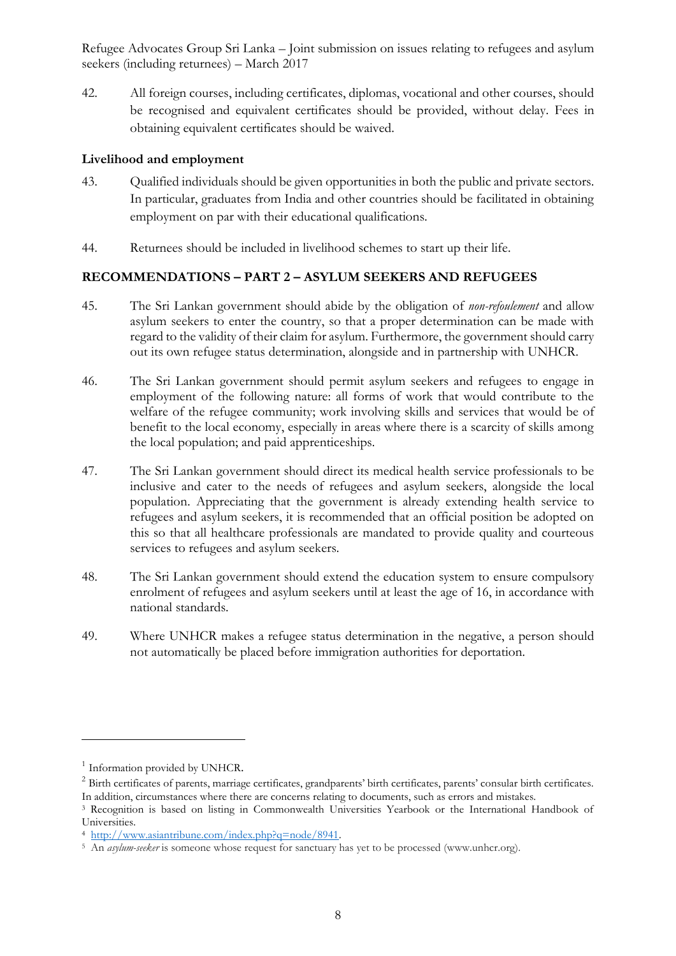42. All foreign courses, including certificates, diplomas, vocational and other courses, should be recognised and equivalent certificates should be provided, without delay. Fees in obtaining equivalent certificates should be waived.

#### **Livelihood and employment**

- 43. Qualified individuals should be given opportunities in both the public and private sectors. In particular, graduates from India and other countries should be facilitated in obtaining employment on par with their educational qualifications.
- 44. Returnees should be included in livelihood schemes to start up their life.

# **RECOMMENDATIONS – PART 2 – ASYLUM SEEKERS AND REFUGEES**

- 45. The Sri Lankan government should abide by the obligation of *non-refoulement* and allow asylum seekers to enter the country, so that a proper determination can be made with regard to the validity of their claim for asylum. Furthermore, the government should carry out its own refugee status determination, alongside and in partnership with UNHCR.
- 46. The Sri Lankan government should permit asylum seekers and refugees to engage in employment of the following nature: all forms of work that would contribute to the welfare of the refugee community; work involving skills and services that would be of benefit to the local economy, especially in areas where there is a scarcity of skills among the local population; and paid apprenticeships.
- 47. The Sri Lankan government should direct its medical health service professionals to be inclusive and cater to the needs of refugees and asylum seekers, alongside the local population. Appreciating that the government is already extending health service to refugees and asylum seekers, it is recommended that an official position be adopted on this so that all healthcare professionals are mandated to provide quality and courteous services to refugees and asylum seekers.
- 48. The Sri Lankan government should extend the education system to ensure compulsory enrolment of refugees and asylum seekers until at least the age of 16, in accordance with national standards.
- 49. Where UNHCR makes a refugee status determination in the negative, a person should not automatically be placed before immigration authorities for deportation.

<u>.</u>

<sup>&</sup>lt;sup>1</sup> Information provided by UNHCR.

<sup>&</sup>lt;sup>2</sup> Birth certificates of parents, marriage certificates, grandparents' birth certificates, parents' consular birth certificates. In addition, circumstances where there are concerns relating to documents, such as errors and mistakes.

<sup>3</sup> Recognition is based on listing in Commonwealth Universities Yearbook or the International Handbook of Universities.

<sup>4</sup> [http://www.asiantribune.com/index.php?q=node/8941.](http://www.asiantribune.com/index.php?q=node/8941) 

<sup>5</sup> An *asylum-seeker* is someone whose request for sanctuary has yet to be processed (www.unhcr.org).